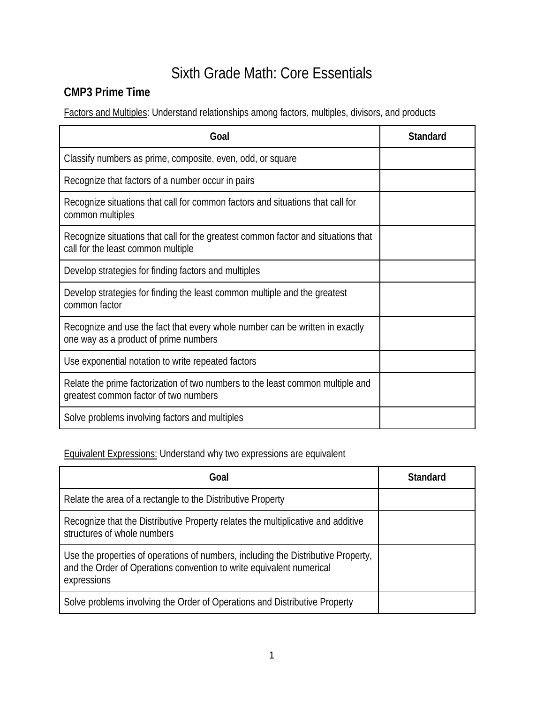# Sixth Grade Math: Core Essentials

### **CMP3 Prime Time**

Factors and Multiples: Understand relationships among factors, multiples, divisors, and products

| Goal                                                                                                                    | Standard |
|-------------------------------------------------------------------------------------------------------------------------|----------|
| Classify numbers as prime, composite, even, odd, or square                                                              |          |
| Recognize that factors of a number occur in pairs                                                                       |          |
| Recognize situations that call for common factors and situations that call for<br>common multiples                      |          |
| Recognize situations that call for the greatest common factor and situations that<br>call for the least common multiple |          |
| Develop strategies for finding factors and multiples                                                                    |          |
| Develop strategies for finding the least common multiple and the greatest<br>common factor                              |          |
| Recognize and use the fact that every whole number can be written in exactly<br>one way as a product of prime numbers   |          |
| Use exponential notation to write repeated factors                                                                      |          |
| Relate the prime factorization of two numbers to the least common multiple and<br>greatest common factor of two numbers |          |
| Solve problems involving factors and multiples                                                                          |          |

Equivalent Expressions: Understand why two expressions are equivalent

| Goal                                                                                                                                                                     | <b>Standard</b> |
|--------------------------------------------------------------------------------------------------------------------------------------------------------------------------|-----------------|
| Relate the area of a rectangle to the Distributive Property                                                                                                              |                 |
| Recognize that the Distributive Property relates the multiplicative and additive<br>structures of whole numbers                                                          |                 |
| Use the properties of operations of numbers, including the Distributive Property,<br>and the Order of Operations convention to write equivalent numerical<br>expressions |                 |
| Solve problems involving the Order of Operations and Distributive Property                                                                                               |                 |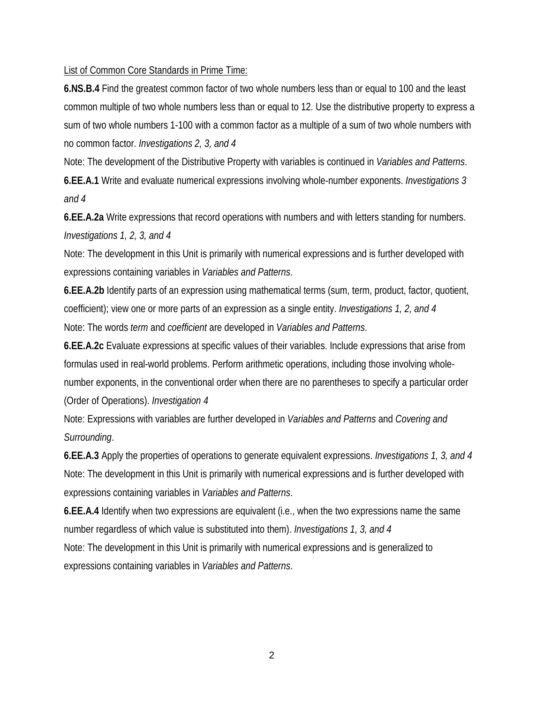#### List of Common Core Standards in Prime Time:

**6.NS.B.4** Find the greatest common factor of two whole numbers less than or equal to 100 and the least common multiple of two whole numbers less than or equal to 12. Use the distributive property to express a sum of two whole numbers 1-100 with a common factor as a multiple of a sum of two whole numbers with no common factor. *Investigations 2, 3, and 4*

Note: The development of the Distributive Property with variables is continued in *Variables and Patterns*. **6.EE.A.1** Write and evaluate numerical expressions involving whole-number exponents. *Investigations 3 and 4*

**6.EE.A.2a** Write expressions that record operations with numbers and with letters standing for numbers. *Investigations 1, 2, 3, and 4*

Note: The development in this Unit is primarily with numerical expressions and is further developed with expressions containing variables in *Variables and Patterns*.

**6.EE.A.2b** Identify parts of an expression using mathematical terms (sum, term, product, factor, quotient, coefficient); view one or more parts of an expression as a single entity. *Investigations 1, 2, and 4* Note: The words *term* and *coefficient* are developed in *Variables and Patterns*.

**6.EE.A.2c** Evaluate expressions at specific values of their variables. Include expressions that arise from formulas used in real-world problems. Perform arithmetic operations, including those involving wholenumber exponents, in the conventional order when there are no parentheses to specify a particular order (Order of Operations). *Investigation 4*

Note: Expressions with variables are further developed in *Variables and Patterns* and *Covering and Surrounding*.

**6.EE.A.3** Apply the properties of operations to generate equivalent expressions. *Investigations 1, 3, and 4* Note: The development in this Unit is primarily with numerical expressions and is further developed with expressions containing variables in *Variables and Patterns*.

**6.EE.A.4** Identify when two expressions are equivalent (i.e., when the two expressions name the same number regardless of which value is substituted into them). *Investigations 1, 3, and 4* Note: The development in this Unit is primarily with numerical expressions and is generalized to expressions containing variables in *Variables and Patterns*.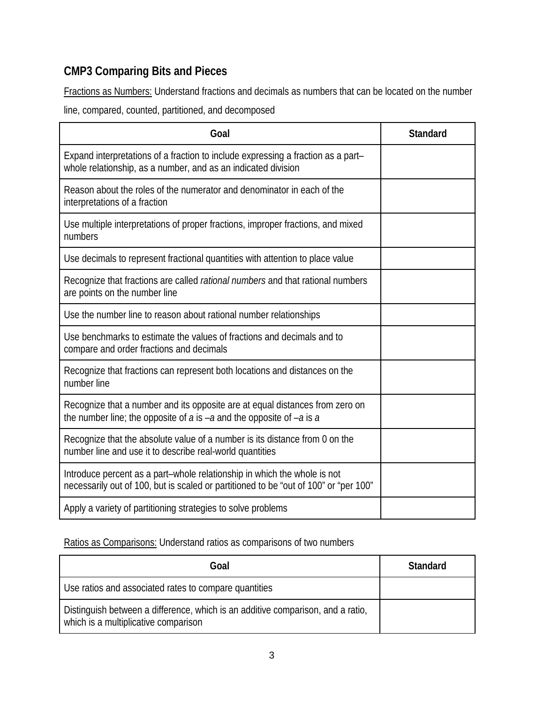# **CMP3 Comparing Bits and Pieces**

Fractions as Numbers: Understand fractions and decimals as numbers that can be located on the number

line, compared, counted, partitioned, and decomposed

| Goal                                                                                                                                                             | <b>Standard</b> |
|------------------------------------------------------------------------------------------------------------------------------------------------------------------|-----------------|
| Expand interpretations of a fraction to include expressing a fraction as a part-<br>whole relationship, as a number, and as an indicated division                |                 |
| Reason about the roles of the numerator and denominator in each of the<br>interpretations of a fraction                                                          |                 |
| Use multiple interpretations of proper fractions, improper fractions, and mixed<br>numbers                                                                       |                 |
| Use decimals to represent fractional quantities with attention to place value                                                                                    |                 |
| Recognize that fractions are called rational numbers and that rational numbers<br>are points on the number line                                                  |                 |
| Use the number line to reason about rational number relationships                                                                                                |                 |
| Use benchmarks to estimate the values of fractions and decimals and to<br>compare and order fractions and decimals                                               |                 |
| Recognize that fractions can represent both locations and distances on the<br>number line                                                                        |                 |
| Recognize that a number and its opposite are at equal distances from zero on<br>the number line; the opposite of $a$ is $-a$ and the opposite of $-a$ is $a$     |                 |
| Recognize that the absolute value of a number is its distance from 0 on the<br>number line and use it to describe real-world quantities                          |                 |
| Introduce percent as a part-whole relationship in which the whole is not<br>necessarily out of 100, but is scaled or partitioned to be "out of 100" or "per 100" |                 |
| Apply a variety of partitioning strategies to solve problems                                                                                                     |                 |

Ratios as Comparisons: Understand ratios as comparisons of two numbers

| Goal                                                                                                                    | <b>Standard</b> |
|-------------------------------------------------------------------------------------------------------------------------|-----------------|
| Use ratios and associated rates to compare quantities                                                                   |                 |
| Distinguish between a difference, which is an additive comparison, and a ratio,<br>which is a multiplicative comparison |                 |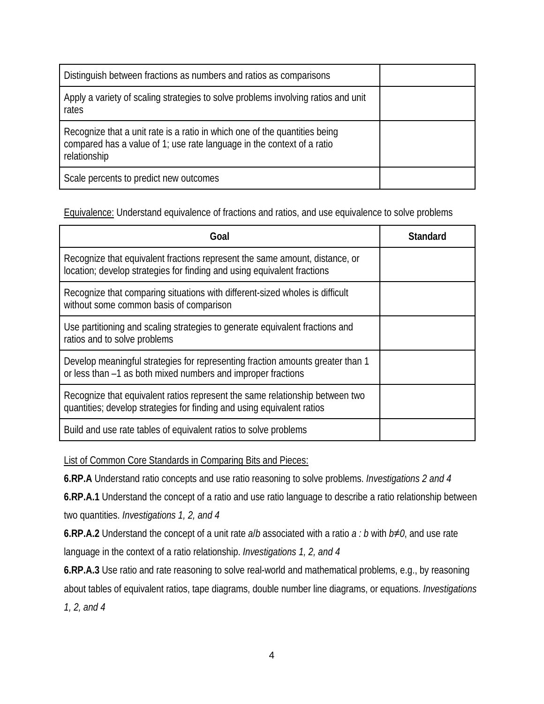| Distinguish between fractions as numbers and ratios as comparisons                                                                                                   |  |
|----------------------------------------------------------------------------------------------------------------------------------------------------------------------|--|
| Apply a variety of scaling strategies to solve problems involving ratios and unit<br>rates                                                                           |  |
| Recognize that a unit rate is a ratio in which one of the quantities being<br>compared has a value of 1; use rate language in the context of a ratio<br>relationship |  |
| Scale percents to predict new outcomes                                                                                                                               |  |

Equivalence: Understand equivalence of fractions and ratios, and use equivalence to solve problems

| Goal                                                                                                                                                   | <b>Standard</b> |
|--------------------------------------------------------------------------------------------------------------------------------------------------------|-----------------|
| Recognize that equivalent fractions represent the same amount, distance, or<br>location; develop strategies for finding and using equivalent fractions |                 |
| Recognize that comparing situations with different-sized wholes is difficult<br>without some common basis of comparison                                |                 |
| Use partitioning and scaling strategies to generate equivalent fractions and<br>ratios and to solve problems                                           |                 |
| Develop meaningful strategies for representing fraction amounts greater than 1<br>or less than -1 as both mixed numbers and improper fractions         |                 |
| Recognize that equivalent ratios represent the same relationship between two<br>quantities; develop strategies for finding and using equivalent ratios |                 |
| Build and use rate tables of equivalent ratios to solve problems                                                                                       |                 |

List of Common Core Standards in Comparing Bits and Pieces:

**6.RP.A** Understand ratio concepts and use ratio reasoning to solve problems. *Investigations 2 and 4*

**6.RP.A.1** Understand the concept of a ratio and use ratio language to describe a ratio relationship between two quantities. *Investigations 1, 2, and 4*

**6.RP.A.2** Understand the concept of a unit rate *a*/*b* associated with a ratio *a : b* with *b*≠*0*, and use rate language in the context of a ratio relationship. *Investigations 1, 2, and 4*

**6.RP.A.3** Use ratio and rate reasoning to solve real-world and mathematical problems, e.g., by reasoning about tables of equivalent ratios, tape diagrams, double number line diagrams, or equations. *Investigations 1, 2, and 4*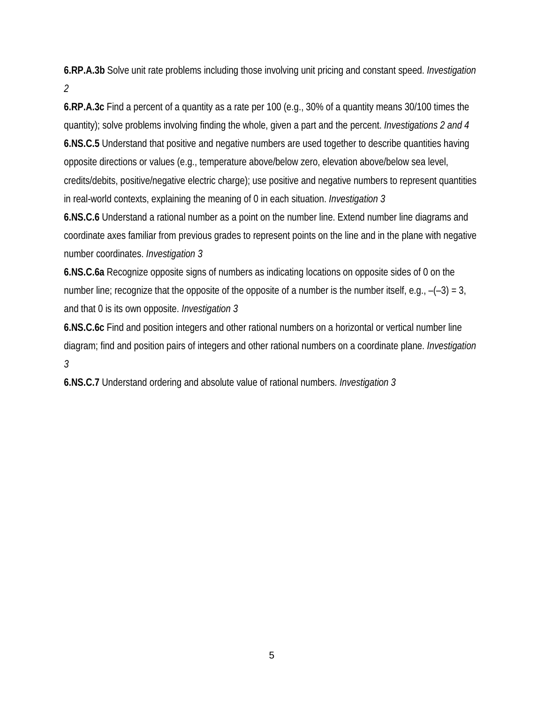**6.RP.A.3b** Solve unit rate problems including those involving unit pricing and constant speed. *Investigation 2*

**6.RP.A.3c** Find a percent of a quantity as a rate per 100 (e.g., 30% of a quantity means 30/100 times the quantity); solve problems involving finding the whole, given a part and the percent. *Investigations 2 and 4* **6.NS.C.5** Understand that positive and negative numbers are used together to describe quantities having opposite directions or values (e.g., temperature above/below zero, elevation above/below sea level, credits/debits, positive/negative electric charge); use positive and negative numbers to represent quantities in real-world contexts, explaining the meaning of 0 in each situation. *Investigation 3*

**6.NS.C.6** Understand a rational number as a point on the number line. Extend number line diagrams and coordinate axes familiar from previous grades to represent points on the line and in the plane with negative number coordinates. *Investigation 3*

**6.NS.C.6a** Recognize opposite signs of numbers as indicating locations on opposite sides of 0 on the number line; recognize that the opposite of the opposite of a number is the number itself, e.g.,  $-(-3) = 3$ , and that 0 is its own opposite. *Investigation 3*

**6.NS.C.6c** Find and position integers and other rational numbers on a horizontal or vertical number line diagram; find and position pairs of integers and other rational numbers on a coordinate plane. *Investigation 3*

**6.NS.C.7** Understand ordering and absolute value of rational numbers. *Investigation 3*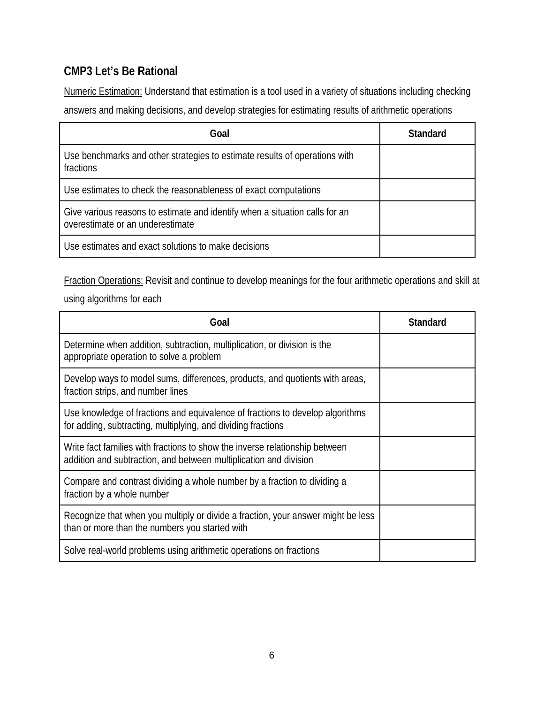### **CMP3 Let's Be Rational**

Numeric Estimation: Understand that estimation is a tool used in a variety of situations including checking answers and making decisions, and develop strategies for estimating results of arithmetic operations

| Goal                                                                                                            | <b>Standard</b> |
|-----------------------------------------------------------------------------------------------------------------|-----------------|
| Use benchmarks and other strategies to estimate results of operations with<br>fractions                         |                 |
| Use estimates to check the reasonableness of exact computations                                                 |                 |
| Give various reasons to estimate and identify when a situation calls for an<br>overestimate or an underestimate |                 |
| Use estimates and exact solutions to make decisions                                                             |                 |

Fraction Operations: Revisit and continue to develop meanings for the four arithmetic operations and skill at

using algorithms for each

| Goal                                                                                                                                             | <b>Standard</b> |
|--------------------------------------------------------------------------------------------------------------------------------------------------|-----------------|
| Determine when addition, subtraction, multiplication, or division is the<br>appropriate operation to solve a problem                             |                 |
| Develop ways to model sums, differences, products, and quotients with areas,<br>fraction strips, and number lines                                |                 |
| Use knowledge of fractions and equivalence of fractions to develop algorithms<br>for adding, subtracting, multiplying, and dividing fractions    |                 |
| Write fact families with fractions to show the inverse relationship between<br>addition and subtraction, and between multiplication and division |                 |
| Compare and contrast dividing a whole number by a fraction to dividing a<br>fraction by a whole number                                           |                 |
| Recognize that when you multiply or divide a fraction, your answer might be less<br>than or more than the numbers you started with               |                 |
| Solve real-world problems using arithmetic operations on fractions                                                                               |                 |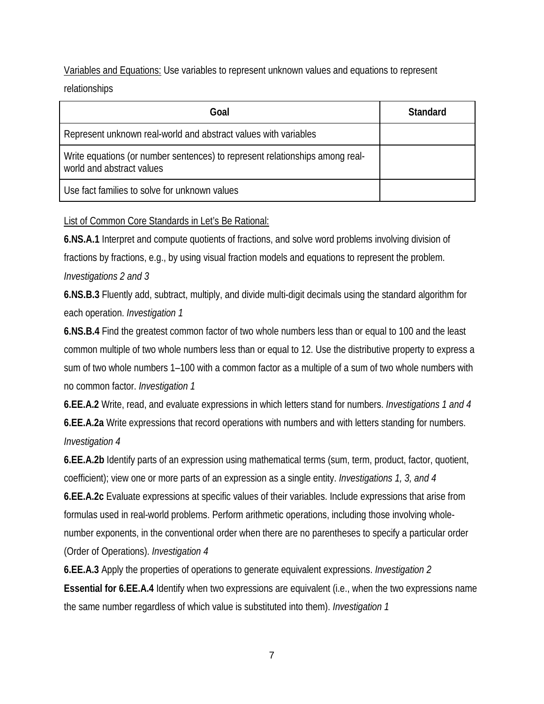Variables and Equations: Use variables to represent unknown values and equations to represent relationships

| Goal                                                                                                      | Standard |
|-----------------------------------------------------------------------------------------------------------|----------|
| Represent unknown real-world and abstract values with variables                                           |          |
| Write equations (or number sentences) to represent relationships among real-<br>world and abstract values |          |
| Use fact families to solve for unknown values                                                             |          |

#### List of Common Core Standards in Let's Be Rational:

**6.NS.A.1** Interpret and compute quotients of fractions, and solve word problems involving division of fractions by fractions, e.g., by using visual fraction models and equations to represent the problem. *Investigations 2 and 3*

**6.NS.B.3** Fluently add, subtract, multiply, and divide multi-digit decimals using the standard algorithm for each operation. *Investigation 1*

**6.NS.B.4** Find the greatest common factor of two whole numbers less than or equal to 100 and the least common multiple of two whole numbers less than or equal to 12. Use the distributive property to express a sum of two whole numbers 1–100 with a common factor as a multiple of a sum of two whole numbers with no common factor. *Investigation 1*

**6.EE.A.2** Write, read, and evaluate expressions in which letters stand for numbers. *Investigations 1 and 4* **6.EE.A.2a** Write expressions that record operations with numbers and with letters standing for numbers. *Investigation 4*

**6.EE.A.2b** Identify parts of an expression using mathematical terms (sum, term, product, factor, quotient, coefficient); view one or more parts of an expression as a single entity. *Investigations 1, 3, and 4* **6.EE.A.2c** Evaluate expressions at specific values of their variables. Include expressions that arise from formulas used in real-world problems. Perform arithmetic operations, including those involving whole-

number exponents, in the conventional order when there are no parentheses to specify a particular order (Order of Operations). *Investigation 4*

**6.EE.A.3** Apply the properties of operations to generate equivalent expressions. *Investigation 2* **Essential for 6.EE.A.4** Identify when two expressions are equivalent (i.e., when the two expressions name the same number regardless of which value is substituted into them). *Investigation 1*

7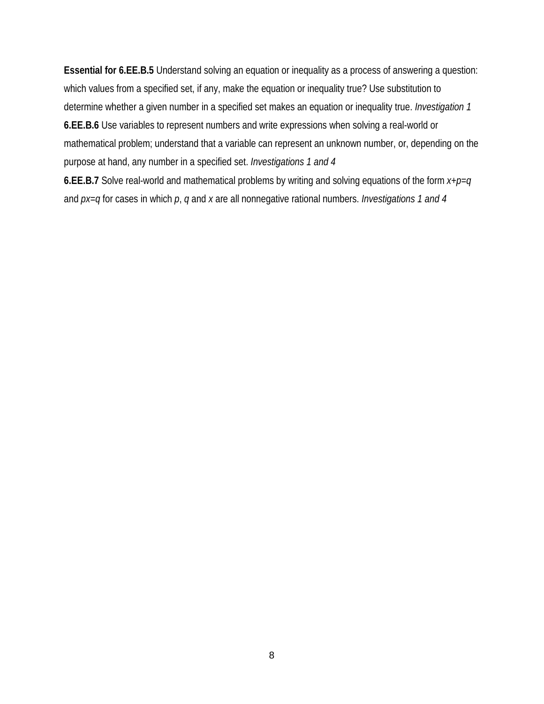**Essential for 6.EE.B.5** Understand solving an equation or inequality as a process of answering a question: which values from a specified set, if any, make the equation or inequality true? Use substitution to determine whether a given number in a specified set makes an equation or inequality true. *Investigation 1* **6.EE.B.6** Use variables to represent numbers and write expressions when solving a real-world or mathematical problem; understand that a variable can represent an unknown number, or, depending on the purpose at hand, any number in a specified set. *Investigations 1 and 4*

**6.EE.B.7** Solve real-world and mathematical problems by writing and solving equations of the form *x*+*p*=*q* and *px*=*q* for cases in which *p*, *q* and *x* are all nonnegative rational numbers. *Investigations 1 and 4*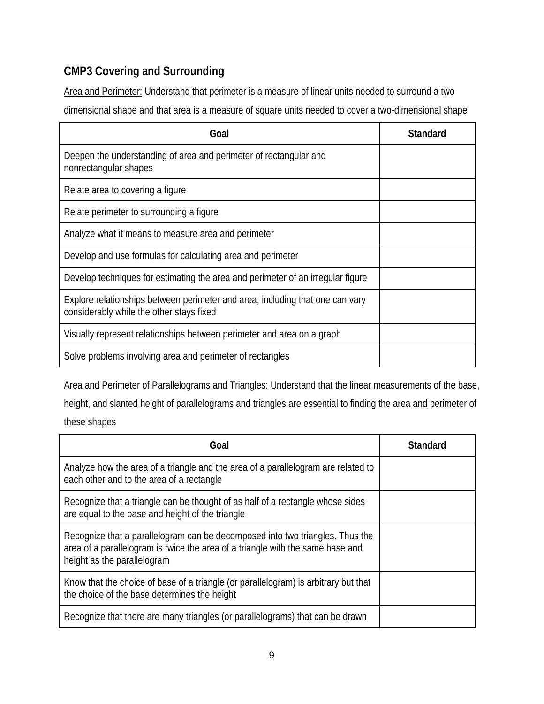# **CMP3 Covering and Surrounding**

Area and Perimeter: Understand that perimeter is a measure of linear units needed to surround a twodimensional shape and that area is a measure of square units needed to cover a two-dimensional shape

| Goal                                                                                                                      | <b>Standard</b> |
|---------------------------------------------------------------------------------------------------------------------------|-----------------|
| Deepen the understanding of area and perimeter of rectangular and<br>nonrectangular shapes                                |                 |
| Relate area to covering a figure                                                                                          |                 |
| Relate perimeter to surrounding a figure                                                                                  |                 |
| Analyze what it means to measure area and perimeter                                                                       |                 |
| Develop and use formulas for calculating area and perimeter                                                               |                 |
| Develop techniques for estimating the area and perimeter of an irregular figure                                           |                 |
| Explore relationships between perimeter and area, including that one can vary<br>considerably while the other stays fixed |                 |
| Visually represent relationships between perimeter and area on a graph                                                    |                 |
| Solve problems involving area and perimeter of rectangles                                                                 |                 |

Area and Perimeter of Parallelograms and Triangles: Understand that the linear measurements of the base,

height, and slanted height of parallelograms and triangles are essential to finding the area and perimeter of these shapes

| Goal                                                                                                                                                                                           | <b>Standard</b> |
|------------------------------------------------------------------------------------------------------------------------------------------------------------------------------------------------|-----------------|
| Analyze how the area of a triangle and the area of a parallelogram are related to<br>each other and to the area of a rectangle                                                                 |                 |
| Recognize that a triangle can be thought of as half of a rectangle whose sides<br>are equal to the base and height of the triangle                                                             |                 |
| Recognize that a parallelogram can be decomposed into two triangles. Thus the<br>area of a parallelogram is twice the area of a triangle with the same base and<br>height as the parallelogram |                 |
| Know that the choice of base of a triangle (or parallelogram) is arbitrary but that<br>the choice of the base determines the height                                                            |                 |
| Recognize that there are many triangles (or parallelograms) that can be drawn                                                                                                                  |                 |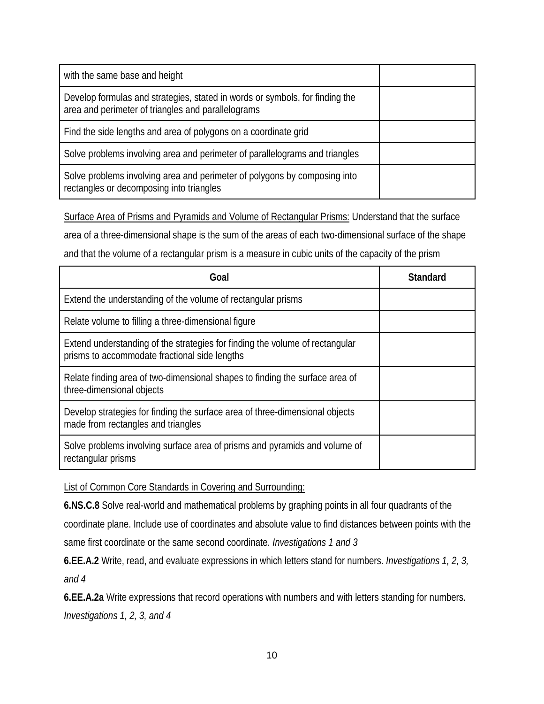| with the same base and height                                                                                                      |  |
|------------------------------------------------------------------------------------------------------------------------------------|--|
| Develop formulas and strategies, stated in words or symbols, for finding the<br>area and perimeter of triangles and parallelograms |  |
| Find the side lengths and area of polygons on a coordinate grid                                                                    |  |
| Solve problems involving area and perimeter of parallelograms and triangles                                                        |  |
| Solve problems involving area and perimeter of polygons by composing into<br>rectangles or decomposing into triangles              |  |

Surface Area of Prisms and Pyramids and Volume of Rectangular Prisms: Understand that the surface

area of a three-dimensional shape is the sum of the areas of each two-dimensional surface of the shape

and that the volume of a rectangular prism is a measure in cubic units of the capacity of the prism

| Goal                                                                                                                          | <b>Standard</b> |
|-------------------------------------------------------------------------------------------------------------------------------|-----------------|
| Extend the understanding of the volume of rectangular prisms                                                                  |                 |
| Relate volume to filling a three-dimensional figure                                                                           |                 |
| Extend understanding of the strategies for finding the volume of rectangular<br>prisms to accommodate fractional side lengths |                 |
| Relate finding area of two-dimensional shapes to finding the surface area of<br>three-dimensional objects                     |                 |
| Develop strategies for finding the surface area of three-dimensional objects<br>made from rectangles and triangles            |                 |
| Solve problems involving surface area of prisms and pyramids and volume of<br>rectangular prisms                              |                 |

List of Common Core Standards in Covering and Surrounding:

**6.NS.C.8** Solve real-world and mathematical problems by graphing points in all four quadrants of the coordinate plane. Include use of coordinates and absolute value to find distances between points with the same first coordinate or the same second coordinate. *Investigations 1 and 3*

**6.EE.A.2** Write, read, and evaluate expressions in which letters stand for numbers. *Investigations 1, 2, 3, and 4*

**6.EE.A.2a** Write expressions that record operations with numbers and with letters standing for numbers. *Investigations 1, 2, 3, and 4*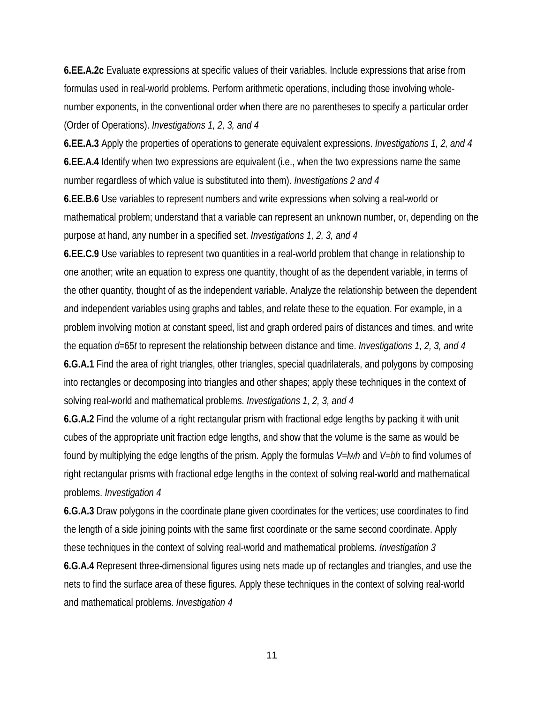**6.EE.A.2c** Evaluate expressions at specific values of their variables. Include expressions that arise from formulas used in real-world problems. Perform arithmetic operations, including those involving wholenumber exponents, in the conventional order when there are no parentheses to specify a particular order (Order of Operations). *Investigations 1, 2, 3, and 4*

**6.EE.A.3** Apply the properties of operations to generate equivalent expressions. *Investigations 1, 2, and 4* **6.EE.A.4** Identify when two expressions are equivalent (i.e., when the two expressions name the same number regardless of which value is substituted into them). *Investigations 2 and 4*

**6.EE.B.6** Use variables to represent numbers and write expressions when solving a real-world or mathematical problem; understand that a variable can represent an unknown number, or, depending on the purpose at hand, any number in a specified set. *Investigations 1, 2, 3, and 4*

**6.EE.C.9** Use variables to represent two quantities in a real-world problem that change in relationship to one another; write an equation to express one quantity, thought of as the dependent variable, in terms of the other quantity, thought of as the independent variable. Analyze the relationship between the dependent and independent variables using graphs and tables, and relate these to the equation. For example, in a problem involving motion at constant speed, list and graph ordered pairs of distances and times, and write the equation *d*=65*t* to represent the relationship between distance and time. *Investigations 1, 2, 3, and 4* **6.G.A.1** Find the area of right triangles, other triangles, special quadrilaterals, and polygons by composing into rectangles or decomposing into triangles and other shapes; apply these techniques in the context of solving real-world and mathematical problems. *Investigations 1, 2, 3, and 4*

**6.G.A.2** Find the volume of a right rectangular prism with fractional edge lengths by packing it with unit cubes of the appropriate unit fraction edge lengths, and show that the volume is the same as would be found by multiplying the edge lengths of the prism. Apply the formulas *V*=*lwh* and *V*=*bh* to find volumes of right rectangular prisms with fractional edge lengths in the context of solving real-world and mathematical problems. *Investigation 4*

**6.G.A.3** Draw polygons in the coordinate plane given coordinates for the vertices; use coordinates to find the length of a side joining points with the same first coordinate or the same second coordinate. Apply these techniques in the context of solving real-world and mathematical problems. *Investigation 3* **6.G.A.4** Represent three-dimensional figures using nets made up of rectangles and triangles, and use the nets to find the surface area of these figures. Apply these techniques in the context of solving real-world and mathematical problems. *Investigation 4*

11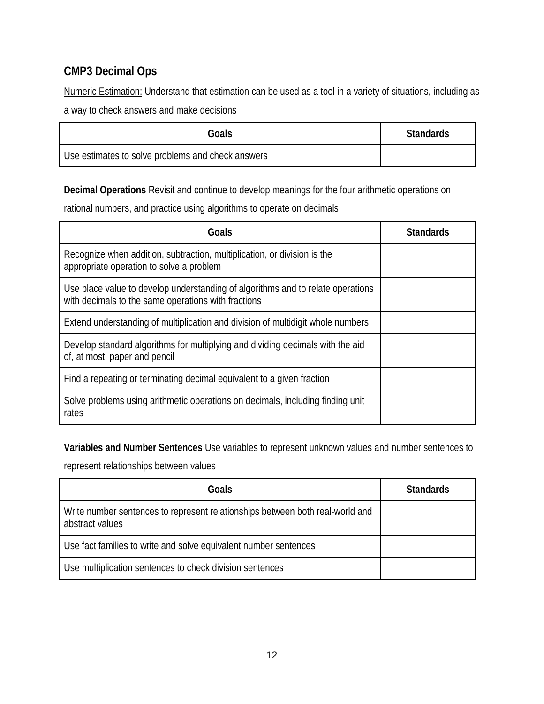## **CMP3 Decimal Ops**

Numeric Estimation: Understand that estimation can be used as a tool in a variety of situations, including as a way to check answers and make decisions

| Goals                                             | <b>Standards</b> |
|---------------------------------------------------|------------------|
| Use estimates to solve problems and check answers |                  |

**Decimal Operations** Revisit and continue to develop meanings for the four arithmetic operations on

rational numbers, and practice using algorithms to operate on decimals

| Goals                                                                                                                                  | <b>Standards</b> |
|----------------------------------------------------------------------------------------------------------------------------------------|------------------|
| Recognize when addition, subtraction, multiplication, or division is the<br>appropriate operation to solve a problem                   |                  |
| Use place value to develop understanding of algorithms and to relate operations<br>with decimals to the same operations with fractions |                  |
| Extend understanding of multiplication and division of multidigit whole numbers                                                        |                  |
| Develop standard algorithms for multiplying and dividing decimals with the aid<br>of, at most, paper and pencil                        |                  |
| Find a repeating or terminating decimal equivalent to a given fraction                                                                 |                  |
| Solve problems using arithmetic operations on decimals, including finding unit<br>rates                                                |                  |

**Variables and Number Sentences** Use variables to represent unknown values and number sentences to

represent relationships between values

| Goals                                                                                            | <b>Standards</b> |
|--------------------------------------------------------------------------------------------------|------------------|
| Write number sentences to represent relationships between both real-world and<br>abstract values |                  |
| Use fact families to write and solve equivalent number sentences                                 |                  |
| Use multiplication sentences to check division sentences                                         |                  |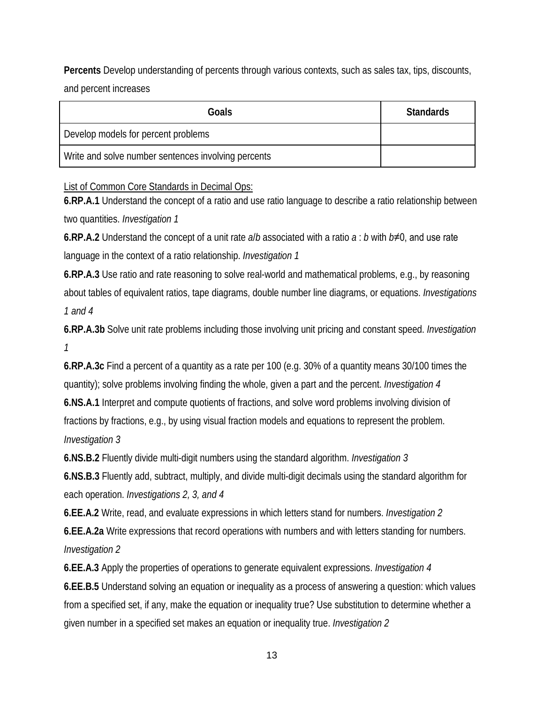**Percents** Develop understanding of percents through various contexts, such as sales tax, tips, discounts, and percent increases

| Goals                                               | <b>Standards</b> |
|-----------------------------------------------------|------------------|
| Develop models for percent problems                 |                  |
| Write and solve number sentences involving percents |                  |

List of Common Core Standards in Decimal Ops:

**6.RP.A.1** Understand the concept of a ratio and use ratio language to describe a ratio relationship between two quantities. *Investigation 1*

**6.RP.A.2** Understand the concept of a unit rate *a*/*b* associated with a ratio *a* : *b* with *b*≠0, and use rate language in the context of a ratio relationship. *Investigation 1*

**6.RP.A.3** Use ratio and rate reasoning to solve real-world and mathematical problems, e.g., by reasoning about tables of equivalent ratios, tape diagrams, double number line diagrams, or equations. *Investigations 1 and 4*

**6.RP.A.3b** Solve unit rate problems including those involving unit pricing and constant speed. *Investigation 1*

**6.RP.A.3c** Find a percent of a quantity as a rate per 100 (e.g. 30% of a quantity means 30/100 times the quantity); solve problems involving finding the whole, given a part and the percent. *Investigation 4*

**6.NS.A.1** Interpret and compute quotients of fractions, and solve word problems involving division of fractions by fractions, e.g., by using visual fraction models and equations to represent the problem. *Investigation 3*

**6.NS.B.2** Fluently divide multi-digit numbers using the standard algorithm. *Investigation 3*

**6.NS.B.3** Fluently add, subtract, multiply, and divide multi-digit decimals using the standard algorithm for each operation. *Investigations 2, 3, and 4*

**6.EE.A.2** Write, read, and evaluate expressions in which letters stand for numbers. *Investigation 2* **6.EE.A.2a** Write expressions that record operations with numbers and with letters standing for numbers. *Investigation 2*

**6.EE.A.3** Apply the properties of operations to generate equivalent expressions. *Investigation 4*

**6.EE.B.5** Understand solving an equation or inequality as a process of answering a question: which values from a specified set, if any, make the equation or inequality true? Use substitution to determine whether a given number in a specified set makes an equation or inequality true. *Investigation 2*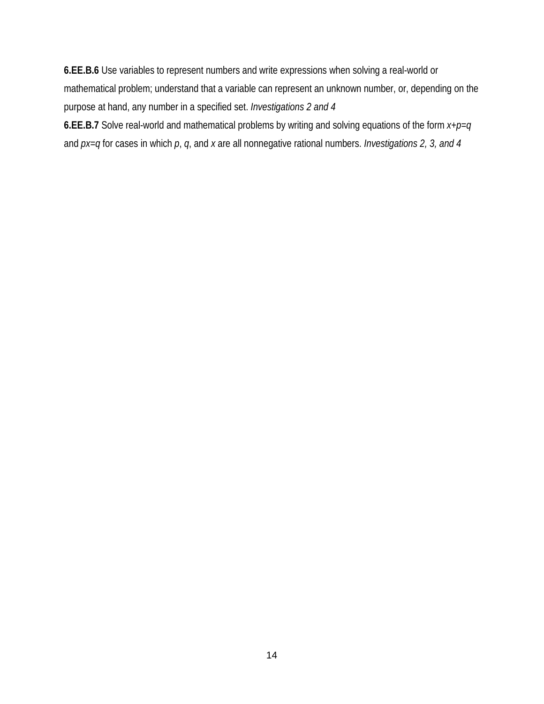**6.EE.B.6** Use variables to represent numbers and write expressions when solving a real-world or mathematical problem; understand that a variable can represent an unknown number, or, depending on the purpose at hand, any number in a specified set. *Investigations 2 and 4* **6.EE.B.7** Solve real-world and mathematical problems by writing and solving equations of the form *x*+*p*=*q*

and *px*=*q* for cases in which *p*, *q*, and *x* are all nonnegative rational numbers. *Investigations 2, 3, and 4*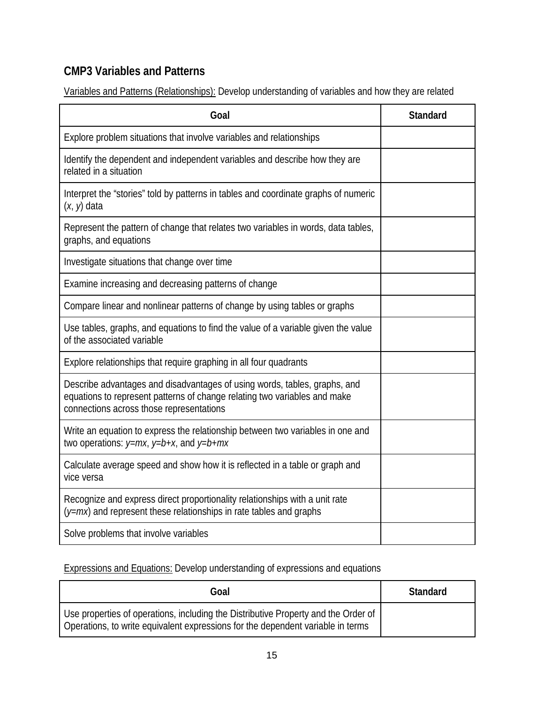## **CMP3 Variables and Patterns**

Variables and Patterns (Relationships): Develop understanding of variables and how they are related

| Goal                                                                                                                                                                                               | <b>Standard</b> |
|----------------------------------------------------------------------------------------------------------------------------------------------------------------------------------------------------|-----------------|
| Explore problem situations that involve variables and relationships                                                                                                                                |                 |
| Identify the dependent and independent variables and describe how they are<br>related in a situation                                                                                               |                 |
| Interpret the "stories" told by patterns in tables and coordinate graphs of numeric<br>$(x, y)$ data                                                                                               |                 |
| Represent the pattern of change that relates two variables in words, data tables,<br>graphs, and equations                                                                                         |                 |
| Investigate situations that change over time                                                                                                                                                       |                 |
| Examine increasing and decreasing patterns of change                                                                                                                                               |                 |
| Compare linear and nonlinear patterns of change by using tables or graphs                                                                                                                          |                 |
| Use tables, graphs, and equations to find the value of a variable given the value<br>of the associated variable                                                                                    |                 |
| Explore relationships that require graphing in all four quadrants                                                                                                                                  |                 |
| Describe advantages and disadvantages of using words, tables, graphs, and<br>equations to represent patterns of change relating two variables and make<br>connections across those representations |                 |
| Write an equation to express the relationship between two variables in one and<br>two operations: $y=mx$ , $y=b+x$ , and $y=b+mx$                                                                  |                 |
| Calculate average speed and show how it is reflected in a table or graph and<br>vice versa                                                                                                         |                 |
| Recognize and express direct proportionality relationships with a unit rate<br>$(y=mx)$ and represent these relationships in rate tables and graphs                                                |                 |
| Solve problems that involve variables                                                                                                                                                              |                 |

Expressions and Equations: Develop understanding of expressions and equations

| Goal                                                                                                                                                                  | Standard |
|-----------------------------------------------------------------------------------------------------------------------------------------------------------------------|----------|
| Use properties of operations, including the Distributive Property and the Order of<br>Operations, to write equivalent expressions for the dependent variable in terms |          |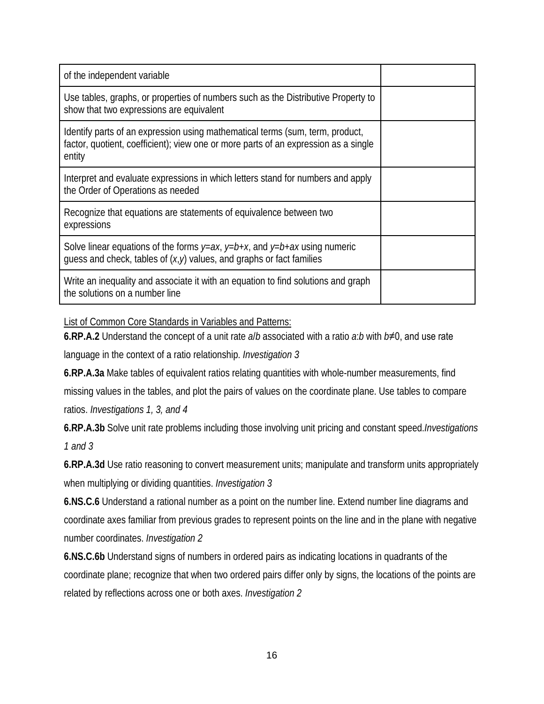| of the independent variable                                                                                                                                                    |  |
|--------------------------------------------------------------------------------------------------------------------------------------------------------------------------------|--|
| Use tables, graphs, or properties of numbers such as the Distributive Property to<br>show that two expressions are equivalent                                                  |  |
| Identify parts of an expression using mathematical terms (sum, term, product,<br>factor, quotient, coefficient); view one or more parts of an expression as a single<br>entity |  |
| Interpret and evaluate expressions in which letters stand for numbers and apply<br>the Order of Operations as needed                                                           |  |
| Recognize that equations are statements of equivalence between two<br>expressions                                                                                              |  |
| Solve linear equations of the forms $y=ax$ , $y=b+x$ , and $y=b+ax$ using numeric<br>guess and check, tables of $(x, y)$ values, and graphs or fact families                   |  |
| Write an inequality and associate it with an equation to find solutions and graph<br>the solutions on a number line                                                            |  |

List of Common Core Standards in Variables and Patterns:

**6.RP.A.2** Understand the concept of a unit rate *a*/*b* associated with a ratio *a*:*b* with *b*≠0, and use rate language in the context of a ratio relationship. *Investigation 3*

**6.RP.A.3a** Make tables of equivalent ratios relating quantities with whole-number measurements, find missing values in the tables, and plot the pairs of values on the coordinate plane. Use tables to compare ratios. *Investigations 1, 3, and 4*

**6.RP.A.3b** Solve unit rate problems including those involving unit pricing and constant speed.*Investigations 1 and 3*

**6.RP.A.3d** Use ratio reasoning to convert measurement units; manipulate and transform units appropriately when multiplying or dividing quantities. *Investigation 3*

**6.NS.C.6** Understand a rational number as a point on the number line. Extend number line diagrams and coordinate axes familiar from previous grades to represent points on the line and in the plane with negative number coordinates. *Investigation 2*

**6.NS.C.6b** Understand signs of numbers in ordered pairs as indicating locations in quadrants of the coordinate plane; recognize that when two ordered pairs differ only by signs, the locations of the points are related by reflections across one or both axes. *Investigation 2*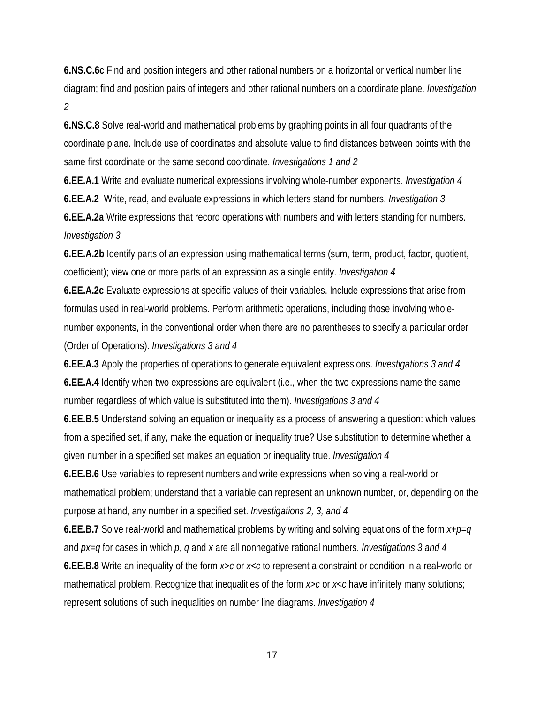**6.NS.C.6c** Find and position integers and other rational numbers on a horizontal or vertical number line diagram; find and position pairs of integers and other rational numbers on a coordinate plane. *Investigation 2*

**6.NS.C.8** Solve real-world and mathematical problems by graphing points in all four quadrants of the coordinate plane. Include use of coordinates and absolute value to find distances between points with the same first coordinate or the same second coordinate. *Investigations 1 and 2*

**6.EE.A.1** Write and evaluate numerical expressions involving whole-number exponents. *Investigation 4* **6.EE.A.2** Write, read, and evaluate expressions in which letters stand for numbers. *Investigation 3* **6.EE.A.2a** Write expressions that record operations with numbers and with letters standing for numbers. *Investigation 3*

**6.EE.A.2b** Identify parts of an expression using mathematical terms (sum, term, product, factor, quotient, coefficient); view one or more parts of an expression as a single entity. *Investigation 4*

**6.EE.A.2c** Evaluate expressions at specific values of their variables. Include expressions that arise from formulas used in real-world problems. Perform arithmetic operations, including those involving wholenumber exponents, in the conventional order when there are no parentheses to specify a particular order (Order of Operations). *Investigations 3 and 4*

**6.EE.A.3** Apply the properties of operations to generate equivalent expressions. *Investigations 3 and 4* **6.EE.A.4** Identify when two expressions are equivalent (i.e., when the two expressions name the same number regardless of which value is substituted into them). *Investigations 3 and 4*

**6.EE.B.5** Understand solving an equation or inequality as a process of answering a question: which values from a specified set, if any, make the equation or inequality true? Use substitution to determine whether a given number in a specified set makes an equation or inequality true. *Investigation 4*

**6.EE.B.6** Use variables to represent numbers and write expressions when solving a real-world or mathematical problem; understand that a variable can represent an unknown number, or, depending on the purpose at hand, any number in a specified set. *Investigations 2, 3, and 4*

**6.EE.B.7** Solve real-world and mathematical problems by writing and solving equations of the form *x*+*p*=*q* and *px*=*q* for cases in which *p*, *q* and *x* are all nonnegative rational numbers. *Investigations 3 and 4* **6.EE.B.8** Write an inequality of the form *x*>*c* or *x*<*c* to represent a constraint or condition in a real-world or mathematical problem. Recognize that inequalities of the form *x*>*c* or *x*<*c* have infinitely many solutions; represent solutions of such inequalities on number line diagrams. *Investigation 4*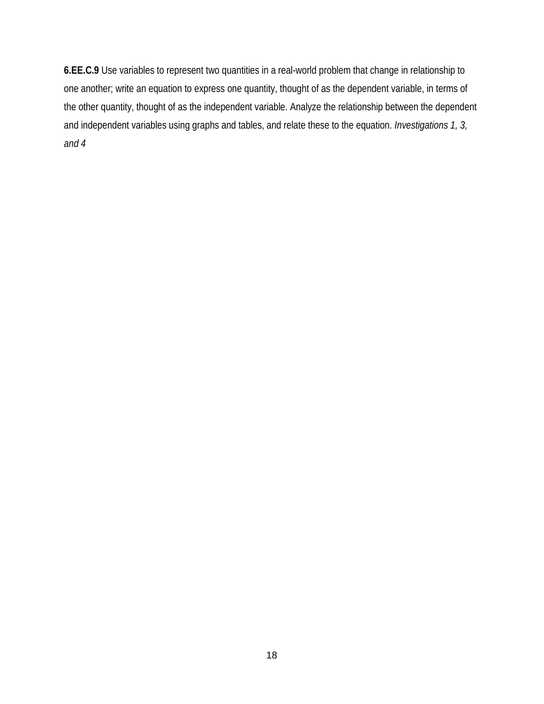**6.EE.C.9** Use variables to represent two quantities in a real-world problem that change in relationship to one another; write an equation to express one quantity, thought of as the dependent variable, in terms of the other quantity, thought of as the independent variable. Analyze the relationship between the dependent and independent variables using graphs and tables, and relate these to the equation. *Investigations 1, 3, and 4*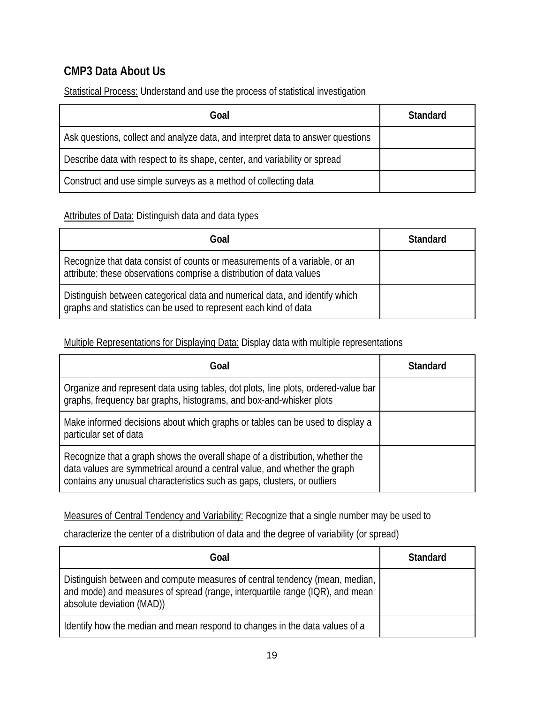### **CMP3 Data About Us**

Statistical Process: Understand and use the process of statistical investigation

| Goal                                                                            | <b>Standard</b> |
|---------------------------------------------------------------------------------|-----------------|
| Ask questions, collect and analyze data, and interpret data to answer questions |                 |
| Describe data with respect to its shape, center, and variability or spread      |                 |
| Construct and use simple surveys as a method of collecting data                 |                 |

#### Attributes of Data: Distinguish data and data types

| Goal                                                                                                                                               | <b>Standard</b> |
|----------------------------------------------------------------------------------------------------------------------------------------------------|-----------------|
| Recognize that data consist of counts or measurements of a variable, or an<br>attribute; these observations comprise a distribution of data values |                 |
| Distinguish between categorical data and numerical data, and identify which<br>graphs and statistics can be used to represent each kind of data    |                 |

Multiple Representations for Displaying Data: Display data with multiple representations

| Goal                                                                                                                                                                                                                                   | <b>Standard</b> |
|----------------------------------------------------------------------------------------------------------------------------------------------------------------------------------------------------------------------------------------|-----------------|
| Organize and represent data using tables, dot plots, line plots, ordered-value bar<br>graphs, frequency bar graphs, histograms, and box-and-whisker plots                                                                              |                 |
| Make informed decisions about which graphs or tables can be used to display a<br>particular set of data                                                                                                                                |                 |
| Recognize that a graph shows the overall shape of a distribution, whether the<br>data values are symmetrical around a central value, and whether the graph<br>contains any unusual characteristics such as gaps, clusters, or outliers |                 |

Measures of Central Tendency and Variability: Recognize that a single number may be used to

characterize the center of a distribution of data and the degree of variability (or spread)

| Goal                                                                                                                                                                                     | <b>Standard</b> |
|------------------------------------------------------------------------------------------------------------------------------------------------------------------------------------------|-----------------|
| Distinguish between and compute measures of central tendency (mean, median,<br>and mode) and measures of spread (range, interguartile range (IQR), and mean<br>absolute deviation (MAD)) |                 |
| I Identify how the median and mean respond to changes in the data values of a                                                                                                            |                 |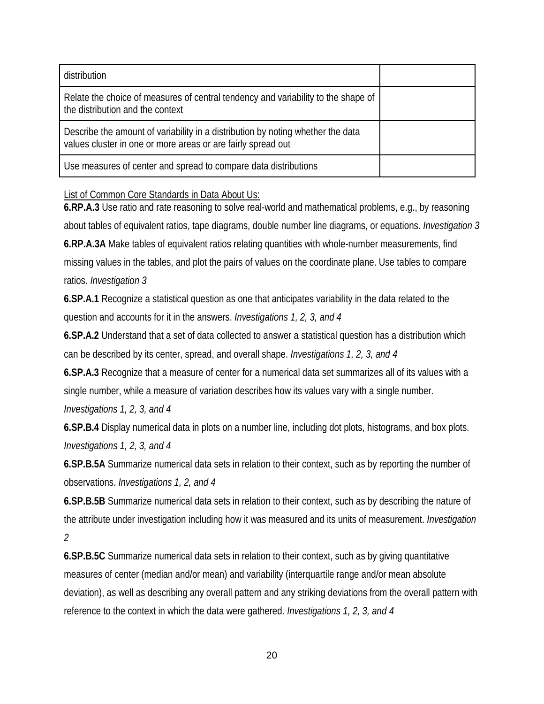| distribution                                                                                                                                    |  |
|-------------------------------------------------------------------------------------------------------------------------------------------------|--|
| Relate the choice of measures of central tendency and variability to the shape of<br>the distribution and the context                           |  |
| Describe the amount of variability in a distribution by noting whether the data<br>values cluster in one or more areas or are fairly spread out |  |
| Use measures of center and spread to compare data distributions                                                                                 |  |

#### List of Common Core Standards in Data About Us:

**6.RP.A.3** Use ratio and rate reasoning to solve real-world and mathematical problems, e.g., by reasoning about tables of equivalent ratios, tape diagrams, double number line diagrams, or equations. *Investigation 3* **6.RP.A.3A** Make tables of equivalent ratios relating quantities with whole-number measurements, find missing values in the tables, and plot the pairs of values on the coordinate plane. Use tables to compare ratios. *Investigation 3*

**6.SP.A.1** Recognize a statistical question as one that anticipates variability in the data related to the question and accounts for it in the answers. *Investigations 1, 2, 3, and 4*

**6.SP.A.2** Understand that a set of data collected to answer a statistical question has a distribution which can be described by its center, spread, and overall shape. *Investigations 1, 2, 3, and 4*

**6.SP.A.3** Recognize that a measure of center for a numerical data set summarizes all of its values with a single number, while a measure of variation describes how its values vary with a single number. *Investigations 1, 2, 3, and 4*

**6.SP.B.4** Display numerical data in plots on a number line, including dot plots, histograms, and box plots. *Investigations 1, 2, 3, and 4*

**6.SP.B.5A** Summarize numerical data sets in relation to their context, such as by reporting the number of observations. *Investigations 1, 2, and 4*

**6.SP.B.5B** Summarize numerical data sets in relation to their context, such as by describing the nature of the attribute under investigation including how it was measured and its units of measurement. *Investigation 2*

**6.SP.B.5C** Summarize numerical data sets in relation to their context, such as by giving quantitative measures of center (median and/or mean) and variability (interquartile range and/or mean absolute deviation), as well as describing any overall pattern and any striking deviations from the overall pattern with reference to the context in which the data were gathered. *Investigations 1, 2, 3, and 4*